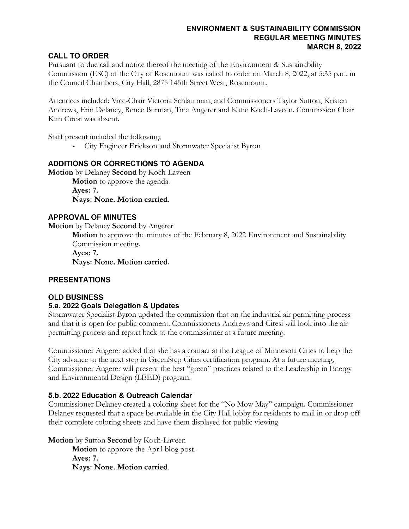## ENVIRONMENT & SUSTAINABILITY COMMISSION REGULAR MEETING MINUTES MARCH 8, 2022

# **CALL TO ORDER**

Pursuant to due call and notice thereof the meeting of the Environment & Sustainability Commission (ESC) of the City of Rosemount was called to order on March 8, 2022, at 5:35 p.m. in the Council Chambers, City Hall, 2875 145th Street West, Rosemount.

Attendees included: Vice-Chair Victoria Schlautman, and Commissioners Taylor Sutton, Kristen Andrews, Erin Delaney, Renee Burman, Tina Angerer and Katie Koch-Laveen. Commission Chair Kim Ciresi was absent.

Staff present included the following;

City Engineer Erickson and Stormwater Specialist Byron

# ADDITIONS OR CORRECTIONS TO AGENDA

Motion by Delaney Second by Koch-Laveen Motion to approve the agenda. Ayes: 7. Nays: None. Motion carried.

# APPROVAL OF MINUTES

Motion by Delaney Second by Angerer

Motion to approve the minutes of the February 8, 2022 Environment and Sustainability Commission meeting.

Ayes: 7.

Nays: None. Motion carried.

## PRESENTATIONS

## OLD BUSINESS

## 5.a. 2022 Goals Delegation & Updates

Stormwater Specialist Byron updated the commission that on the industrial air permitting process and that it is open for public comment. Commissioners Andrews and Ciresi will look into the air permitting process and report back to the commissioner at a future meeting.

Commissioner Angerer added that she has a contact at the League of Minnesota Cities to help the City advance to the next step in GreenStep Cities certification program. At a future meeting, Commissioner Angerer will present the best "green" practices related to the Leadership in Energy and Environmental Design (LEED) program.

## 5.b. 2022 Education & Outreach Calendar

Commissioner Delaney created a coloring sheet for the "No Mow May" campaign. Commissioner Delaney requested that a space be available in the City Hall lobby for residents to mail in or drop off their complete coloring sheets and have them displayed for public viewing.

Motion by Sutton Second by Koch-Laveen

Motion to approve the April blog post. Ayes: 7. Nays: None. Motion carried.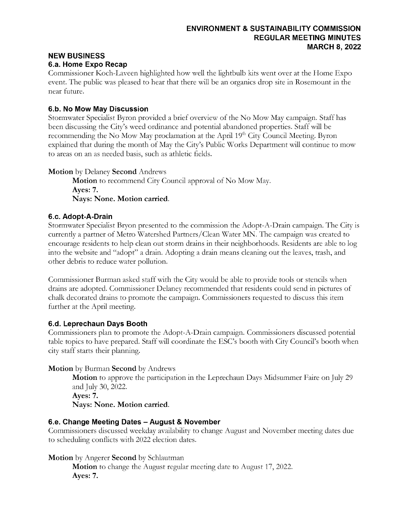## ENVIRONMENT & SUSTAINABILITY COMMISSION REGULAR MEETING MINUTES MARCH 8, 2022

#### NEW BUSINESS 6.a. Home Expo Recap

Commissioner Koch-Laveen highlighted how well the lightbulb kits went over at the Home Expo event. The public was pleased to hear that there will be an organics drop site in Rosemount in the near future.

# 6.b. No Mow May Discussion

Stormwater Specialist Byron provided a brief overview of the No Mow May campaign. Staff has been discussing the City's weed ordinance and potential abandoned properties. Staff will be recommending the No Mow May proclamation at the April 19<sup>th</sup> City Council Meeting. Byron explained that during the month of May the City's Public Works Department will continue to mow to areas on an as needed basis, such as athletic fields.

# Motion by Delaney Second Andrews

Motion to recommend City Council approval of No Mow May. Ayes: 7. Nays: None. Motion carried.

# 6.c. Adopt-A-Drain

Stormwater Specialist Bryon presented to the commission the Adopt-A-Drain campaign. The City is currently a partner of Metro Watershed Partners/Clean Water MN. The campaign was created to encourage residents to help clean out storm drains in their neighborhoods. Residents are able to log into the website and "adopt" a drain. Adopting a drain means cleaning out the leaves, trash, and other debris to reduce water pollution.

Commissioner Burman asked staff with the City would be able to provide tools or stencils when drains are adopted. Commissioner Delaney recommended that residents could send in pictures of chalk decorated drains to promote the campaign. Commissioners requested to discuss this item further at the April meeting.

# 6.d. Leprechaun Days Booth

Commissioners plan to promote the Adopt-A-Drain campaign. Commissioners discussed potential table topics to have prepared. Staff will coordinate the ESC's booth with City Council's booth when city staff starts their planning.

# Motion by Burman Second by Andrews

**Motion** to approve the participation in the Leprechaun Days Midsummer Faire on July 29 and July 30, 2022. Ayes: 7. Nays: None. Motion carried.

## 6.e. Change Meeting Dates – August & November

Commissioners discussed weekday availability to change August and November meeting dates due to scheduling conflicts with 2022 election dates.

# Motion by Angerer Second by Schlautman

Motion to change the August regular meeting date to August 17, 2022. Ayes: 7.